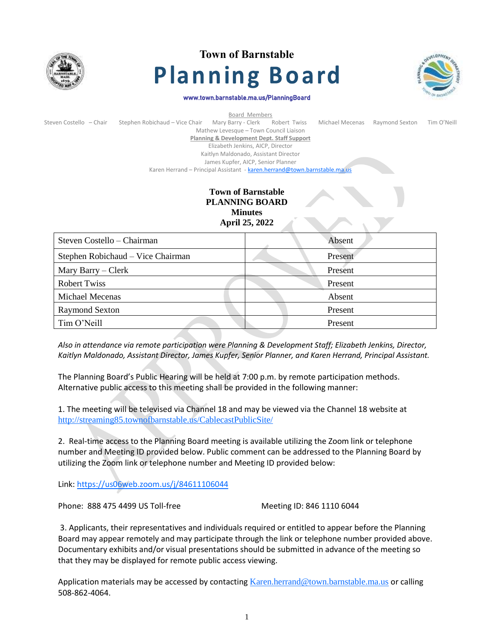

# **Town of Barnstable Planning Board**



#### www.town.barnstable.ma.us/PlanningBoard

| Board Members           |                                                                           |                                            |  |                 |                |             |  |
|-------------------------|---------------------------------------------------------------------------|--------------------------------------------|--|-----------------|----------------|-------------|--|
| Steven Costello - Chair | Stephen Robichaud - Vice Chair                                            | Mary Barry - Clerk Robert Twiss            |  | Michael Mecenas | Raymond Sexton | Tim O'Neill |  |
|                         |                                                                           | Mathew Levesque - Town Council Liaison     |  |                 |                |             |  |
|                         |                                                                           | Planning & Development Dept. Staff Support |  |                 |                |             |  |
|                         |                                                                           | Elizabeth Jenkins, AICP, Director          |  |                 |                |             |  |
|                         |                                                                           | Kaitlyn Maldonado, Assistant Director      |  |                 |                |             |  |
|                         |                                                                           | James Kupfer, AICP, Senior Planner         |  |                 |                |             |  |
|                         | Karen Herrand - Principal Assistant - karen.herrand@town.barnstable.ma.us |                                            |  |                 |                |             |  |

# **Town of Barnstable PLANNING BOARD Minutes April 25, 2022**

| Steven Costello – Chairman        | Absent  |  |  |
|-----------------------------------|---------|--|--|
| Stephen Robichaud – Vice Chairman | Present |  |  |
| Mary Barry – Clerk                | Present |  |  |
| <b>Robert Twiss</b>               | Present |  |  |
| <b>Michael Mecenas</b>            | Absent  |  |  |
| <b>Raymond Sexton</b>             | Present |  |  |
| Tim O'Neill                       | Present |  |  |

*Also in attendance via remote participation were Planning & Development Staff; Elizabeth Jenkins, Director, Kaitlyn Maldonado, Assistant Director, James Kupfer, Senior Planner, and Karen Herrand, Principal Assistant.*

The Planning Board's Public Hearing will be held at 7:00 p.m. by remote participation methods. Alternative public access to this meeting shall be provided in the following manner:

1. The meeting will be televised via Channel 18 and may be viewed via the Channel 18 website at <http://streaming85.townofbarnstable.us/CablecastPublicSite/>

2. Real-time access to the Planning Board meeting is available utilizing the Zoom link or telephone number and Meeting ID provided below. Public comment can be addressed to the Planning Board by utilizing the Zoom link or telephone number and Meeting ID provided below:

Link:<https://us06web.zoom.us/j/84611106044>

Phone: 888 475 4499 US Toll-free Meeting ID: 846 1110 6044

3. Applicants, their representatives and individuals required or entitled to appear before the Planning Board may appear remotely and may participate through the link or telephone number provided above. Documentary exhibits and/or visual presentations should be submitted in advance of the meeting so that they may be displayed for remote public access viewing.

Application materials may be accessed by contacting [Karen.herrand@town.barnstable.ma.us](mailto:Karen.herrand@town.barnstable.ma.us) or calling 508-862-4064.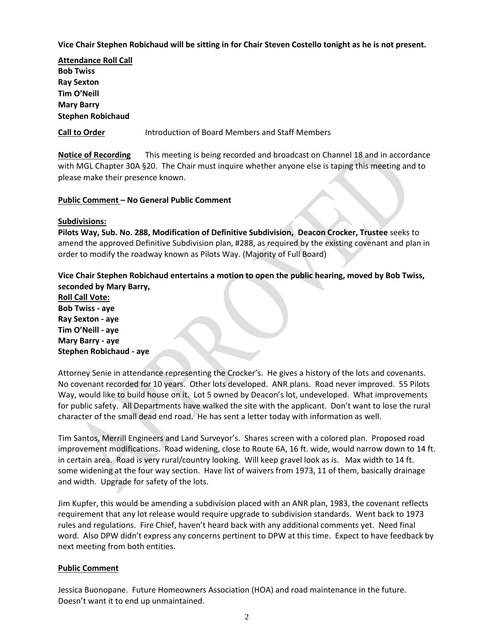## **Vice Chair Stephen Robichaud will be sitting in for Chair Steven Costello tonight as he is not present.**

**Attendance Roll Call Bob Twiss Ray Sexton Tim O'Neill Mary Barry Stephen Robichaud**

**Call to Order** Introduction of Board Members and Staff Members

**Notice of Recording** This meeting is being recorded and broadcast on Channel 18 and in accordance with MGL Chapter 30A §20. The Chair must inquire whether anyone else is taping this meeting and to please make their presence known.

## **Public Comment – No General Public Comment**

### **Subdivisions:**

**Pilots Way, Sub. No. 288, Modification of Definitive Subdivision, Deacon Crocker, Trustee** seeks to amend the approved Definitive Subdivision plan, #288, as required by the existing covenant and plan in order to modify the roadway known as Pilots Way. (Majority of Full Board)

**Vice Chair Stephen Robichaud entertains a motion to open the public hearing, moved by Bob Twiss, seconded by Mary Barry,**

**Roll Call Vote: Bob Twiss - aye Ray Sexton - aye Tim O'Neill - aye Mary Barry - aye Stephen Robichaud - aye**

Attorney Senie in attendance representing the Crocker's. He gives a history of the lots and covenants. No covenant recorded for 10 years. Other lots developed. ANR plans. Road never improved. 55 Pilots Way, would like to build house on it. Lot 5 owned by Deacon's lot, undeveloped. What improvements for public safety. All Departments have walked the site with the applicant. Don't want to lose the rural character of the small dead end road. He has sent a letter today with information as well.

Tim Santos, Merrill Engineers and Land Surveyor's. Shares screen with a colored plan. Proposed road improvement modifications. Road widening, close to Route 6A, 16 ft. wide, would narrow down to 14 ft. in certain area. Road is very rural/country looking. Will keep gravel look as is. Max width to 14 ft. some widening at the four way section. Have list of waivers from 1973, 11 of them, basically drainage and width. Upgrade for safety of the lots.

Jim Kupfer, this would be amending a subdivision placed with an ANR plan, 1983, the covenant reflects requirement that any lot release would require upgrade to subdivision standards. Went back to 1973 rules and regulations. Fire Chief, haven't heard back with any additional comments yet. Need final word. Also DPW didn't express any concerns pertinent to DPW at this time. Expect to have feedback by next meeting from both entities.

## **Public Comment**

Jessica Buonopane. Future Homeowners Association (HOA) and road maintenance in the future. Doesn't want it to end up unmaintained.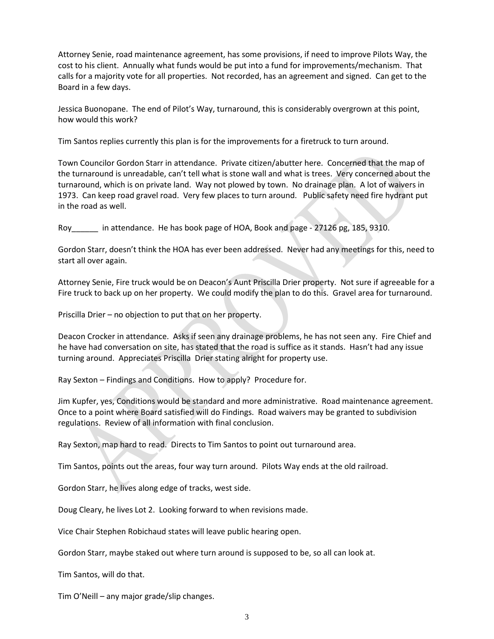Attorney Senie, road maintenance agreement, has some provisions, if need to improve Pilots Way, the cost to his client. Annually what funds would be put into a fund for improvements/mechanism. That calls for a majority vote for all properties. Not recorded, has an agreement and signed. Can get to the Board in a few days.

Jessica Buonopane. The end of Pilot's Way, turnaround, this is considerably overgrown at this point, how would this work?

Tim Santos replies currently this plan is for the improvements for a firetruck to turn around.

Town Councilor Gordon Starr in attendance. Private citizen/abutter here. Concerned that the map of the turnaround is unreadable, can't tell what is stone wall and what is trees. Very concerned about the turnaround, which is on private land. Way not plowed by town. No drainage plan. A lot of waivers in 1973. Can keep road gravel road. Very few places to turn around. Public safety need fire hydrant put in the road as well.

Roy\_\_\_\_\_\_ in attendance. He has book page of HOA, Book and page - 27126 pg, 185, 9310.

Gordon Starr, doesn't think the HOA has ever been addressed. Never had any meetings for this, need to start all over again.

Attorney Senie, Fire truck would be on Deacon's Aunt Priscilla Drier property. Not sure if agreeable for a Fire truck to back up on her property. We could modify the plan to do this. Gravel area for turnaround.

Priscilla Drier – no objection to put that on her property.

Deacon Crocker in attendance. Asks if seen any drainage problems, he has not seen any. Fire Chief and he have had conversation on site, has stated that the road is suffice as it stands. Hasn't had any issue turning around. Appreciates Priscilla Drier stating alright for property use.

Ray Sexton – Findings and Conditions. How to apply? Procedure for.

Jim Kupfer, yes, Conditions would be standard and more administrative. Road maintenance agreement. Once to a point where Board satisfied will do Findings. Road waivers may be granted to subdivision regulations. Review of all information with final conclusion.

Ray Sexton, map hard to read. Directs to Tim Santos to point out turnaround area.

Tim Santos, points out the areas, four way turn around. Pilots Way ends at the old railroad.

Gordon Starr, he lives along edge of tracks, west side.

Doug Cleary, he lives Lot 2. Looking forward to when revisions made.

Vice Chair Stephen Robichaud states will leave public hearing open.

Gordon Starr, maybe staked out where turn around is supposed to be, so all can look at.

Tim Santos, will do that.

Tim O'Neill – any major grade/slip changes.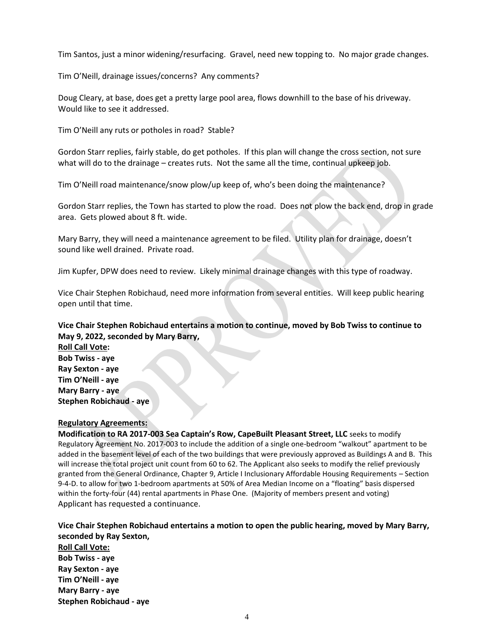Tim Santos, just a minor widening/resurfacing. Gravel, need new topping to. No major grade changes.

Tim O'Neill, drainage issues/concerns? Any comments?

Doug Cleary, at base, does get a pretty large pool area, flows downhill to the base of his driveway. Would like to see it addressed.

Tim O'Neill any ruts or potholes in road? Stable?

Gordon Starr replies, fairly stable, do get potholes. If this plan will change the cross section, not sure what will do to the drainage – creates ruts. Not the same all the time, continual upkeep job.

Tim O'Neill road maintenance/snow plow/up keep of, who's been doing the maintenance?

Gordon Starr replies, the Town has started to plow the road. Does not plow the back end, drop in grade area. Gets plowed about 8 ft. wide.

Mary Barry, they will need a maintenance agreement to be filed. Utility plan for drainage, doesn't sound like well drained. Private road.

Jim Kupfer, DPW does need to review. Likely minimal drainage changes with this type of roadway.

Vice Chair Stephen Robichaud, need more information from several entities. Will keep public hearing open until that time.

# **Vice Chair Stephen Robichaud entertains a motion to continue, moved by Bob Twiss to continue to May 9, 2022, seconded by Mary Barry,**

**Roll Call Vote: Bob Twiss - aye Ray Sexton - aye Tim O'Neill - aye Mary Barry - aye Stephen Robichaud - aye**

## **Regulatory Agreements:**

**Modification to RA 2017-003 Sea Captain's Row, CapeBuilt Pleasant Street, LLC** seeks to modify Regulatory Agreement No. 2017-003 to include the addition of a single one-bedroom "walkout" apartment to be added in the basement level of each of the two buildings that were previously approved as Buildings A and B. This will increase the total project unit count from 60 to 62. The Applicant also seeks to modify the relief previously granted from the General Ordinance, Chapter 9, Article I Inclusionary Affordable Housing Requirements – Section 9-4-D. to allow for two 1-bedroom apartments at 50% of Area Median Income on a "floating" basis dispersed within the forty-four (44) rental apartments in Phase One. (Majority of members present and voting) Applicant has requested a continuance.

**Vice Chair Stephen Robichaud entertains a motion to open the public hearing, moved by Mary Barry, seconded by Ray Sexton,**

**Roll Call Vote: Bob Twiss - aye Ray Sexton - aye Tim O'Neill - aye Mary Barry - aye Stephen Robichaud - aye**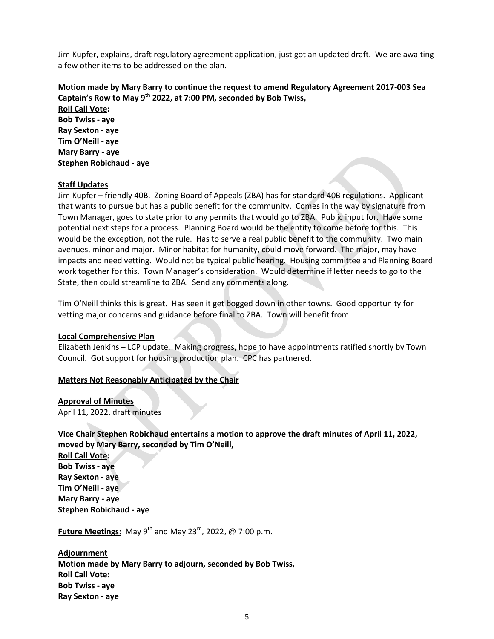Jim Kupfer, explains, draft regulatory agreement application, just got an updated draft. We are awaiting a few other items to be addressed on the plan.

# **Motion made by Mary Barry to continue the request to amend Regulatory Agreement 2017-003 Sea Captain's Row to May 9th 2022, at 7:00 PM, seconded by Bob Twiss,**

**Roll Call Vote: Bob Twiss - aye Ray Sexton - aye Tim O'Neill - aye Mary Barry - aye Stephen Robichaud - aye**

#### **Staff Updates**

Jim Kupfer – friendly 40B. Zoning Board of Appeals (ZBA) has for standard 40B regulations. Applicant that wants to pursue but has a public benefit for the community. Comes in the way by signature from Town Manager, goes to state prior to any permits that would go to ZBA. Public input for. Have some potential next steps for a process. Planning Board would be the entity to come before for this. This would be the exception, not the rule. Has to serve a real public benefit to the community. Two main avenues, minor and major. Minor habitat for humanity, could move forward. The major, may have impacts and need vetting. Would not be typical public hearing. Housing committee and Planning Board work together for this. Town Manager's consideration. Would determine if letter needs to go to the State, then could streamline to ZBA. Send any comments along.

Tim O'Neill thinks this is great. Has seen it get bogged down in other towns. Good opportunity for vetting major concerns and guidance before final to ZBA. Town will benefit from.

#### **Local Comprehensive Plan**

Elizabeth Jenkins – LCP update. Making progress, hope to have appointments ratified shortly by Town Council. Got support for housing production plan. CPC has partnered.

#### **Matters Not Reasonably Anticipated by the Chair**

#### **Approval of Minutes**

April 11, 2022, draft minutes

### **Vice Chair Stephen Robichaud entertains a motion to approve the draft minutes of April 11, 2022, moved by Mary Barry, seconded by Tim O'Neill,**

**Roll Call Vote: Bob Twiss - aye Ray Sexton - aye Tim O'Neill - aye Mary Barry - aye Stephen Robichaud - aye**

**Future Meetings:** May 9<sup>th</sup> and May 23<sup>rd</sup>, 2022, @ 7:00 p.m.

**Adjournment Motion made by Mary Barry to adjourn, seconded by Bob Twiss, Roll Call Vote: Bob Twiss - aye Ray Sexton - aye**